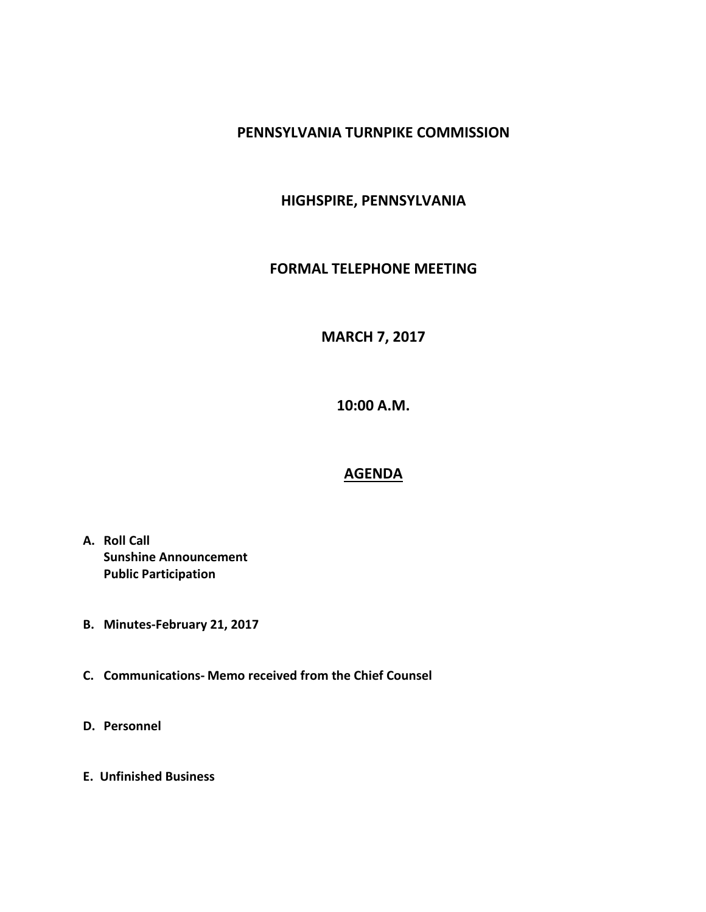### **PENNSYLVANIA TURNPIKE COMMISSION**

# **HIGHSPIRE, PENNSYLVANIA**

#### **FORMAL TELEPHONE MEETING**

# **MARCH 7, 2017**

**10:00 A.M.**

#### **AGENDA**

- **A. Roll Call Sunshine Announcement Public Participation**
- **B. Minutes-February 21, 2017**
- **C. Communications- Memo received from the Chief Counsel**
- **D. Personnel**
- **E. Unfinished Business**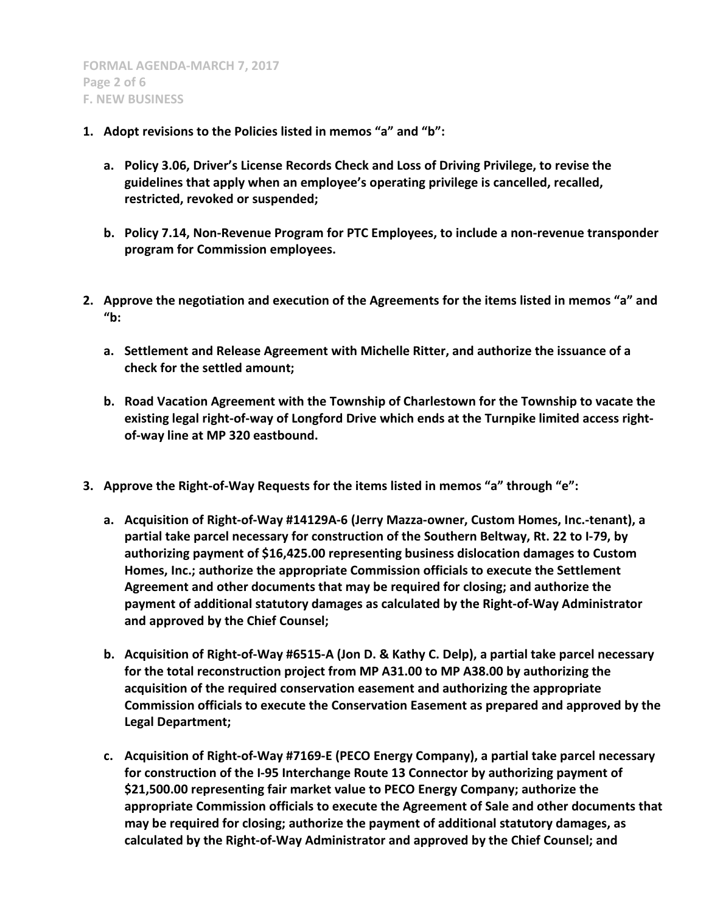- **1. Adopt revisions to the Policies listed in memos "a" and "b":**
	- **a. Policy 3.06, Driver's License Records Check and Loss of Driving Privilege, to revise the guidelines that apply when an employee's operating privilege is cancelled, recalled, restricted, revoked or suspended;**
	- **b. Policy 7.14, Non-Revenue Program for PTC Employees, to include a non-revenue transponder program for Commission employees.**
- **2. Approve the negotiation and execution of the Agreements for the items listed in memos "a" and "b:**
	- **a. Settlement and Release Agreement with Michelle Ritter, and authorize the issuance of a check for the settled amount;**
	- **b. Road Vacation Agreement with the Township of Charlestown for the Township to vacate the existing legal right-of-way of Longford Drive which ends at the Turnpike limited access rightof-way line at MP 320 eastbound.**
- **3. Approve the Right-of-Way Requests for the items listed in memos "a" through "e":**
	- **a. Acquisition of Right-of-Way #14129A-6 (Jerry Mazza-owner, Custom Homes, Inc.-tenant), a partial take parcel necessary for construction of the Southern Beltway, Rt. 22 to I-79, by authorizing payment of \$16,425.00 representing business dislocation damages to Custom Homes, Inc.; authorize the appropriate Commission officials to execute the Settlement Agreement and other documents that may be required for closing; and authorize the payment of additional statutory damages as calculated by the Right-of-Way Administrator and approved by the Chief Counsel;**
	- **b. Acquisition of Right-of-Way #6515-A (Jon D. & Kathy C. Delp), a partial take parcel necessary for the total reconstruction project from MP A31.00 to MP A38.00 by authorizing the acquisition of the required conservation easement and authorizing the appropriate Commission officials to execute the Conservation Easement as prepared and approved by the Legal Department;**
	- **c. Acquisition of Right-of-Way #7169-E (PECO Energy Company), a partial take parcel necessary for construction of the I-95 Interchange Route 13 Connector by authorizing payment of \$21,500.00 representing fair market value to PECO Energy Company; authorize the appropriate Commission officials to execute the Agreement of Sale and other documents that may be required for closing; authorize the payment of additional statutory damages, as calculated by the Right-of-Way Administrator and approved by the Chief Counsel; and**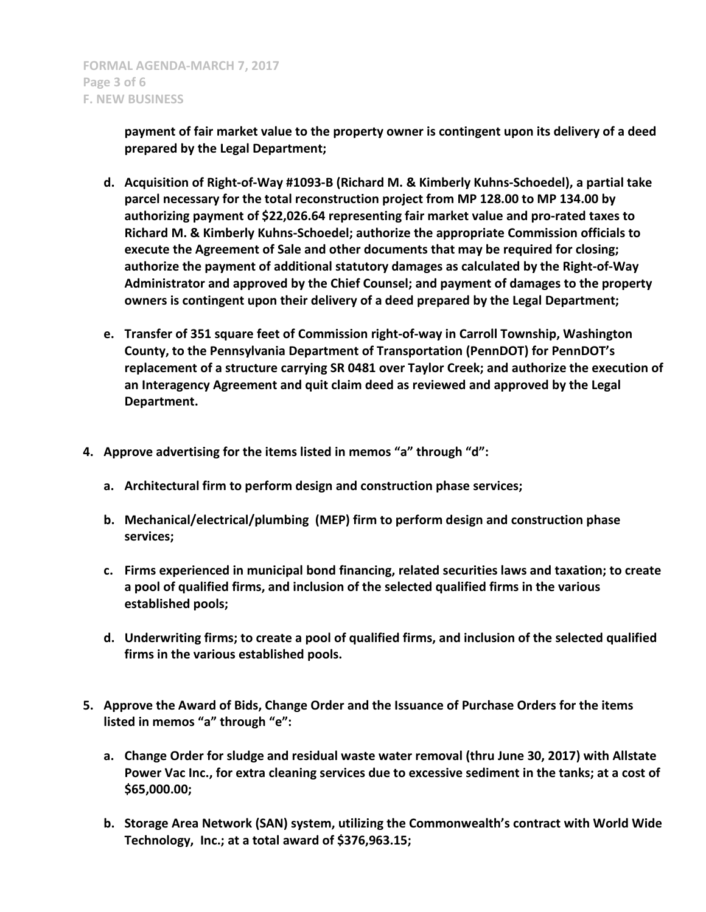**payment of fair market value to the property owner is contingent upon its delivery of a deed prepared by the Legal Department;**

- **d. Acquisition of Right-of-Way #1093-B (Richard M. & Kimberly Kuhns-Schoedel), a partial take parcel necessary for the total reconstruction project from MP 128.00 to MP 134.00 by authorizing payment of \$22,026.64 representing fair market value and pro-rated taxes to Richard M. & Kimberly Kuhns-Schoedel; authorize the appropriate Commission officials to execute the Agreement of Sale and other documents that may be required for closing; authorize the payment of additional statutory damages as calculated by the Right-of-Way Administrator and approved by the Chief Counsel; and payment of damages to the property owners is contingent upon their delivery of a deed prepared by the Legal Department;**
- **e. Transfer of 351 square feet of Commission right-of-way in Carroll Township, Washington County, to the Pennsylvania Department of Transportation (PennDOT) for PennDOT's replacement of a structure carrying SR 0481 over Taylor Creek; and authorize the execution of an Interagency Agreement and quit claim deed as reviewed and approved by the Legal Department.**
- **4. Approve advertising for the items listed in memos "a" through "d":**
	- **a. Architectural firm to perform design and construction phase services;**
	- **b. Mechanical/electrical/plumbing (MEP) firm to perform design and construction phase services;**
	- **c. Firms experienced in municipal bond financing, related securities laws and taxation; to create a pool of qualified firms, and inclusion of the selected qualified firms in the various established pools;**
	- **d. Underwriting firms; to create a pool of qualified firms, and inclusion of the selected qualified firms in the various established pools.**
- **5. Approve the Award of Bids, Change Order and the Issuance of Purchase Orders for the items listed in memos "a" through "e":**
	- **a. Change Order for sludge and residual waste water removal (thru June 30, 2017) with Allstate Power Vac Inc., for extra cleaning services due to excessive sediment in the tanks; at a cost of \$65,000.00;**
	- **b. Storage Area Network (SAN) system, utilizing the Commonwealth's contract with World Wide Technology, Inc.; at a total award of \$376,963.15;**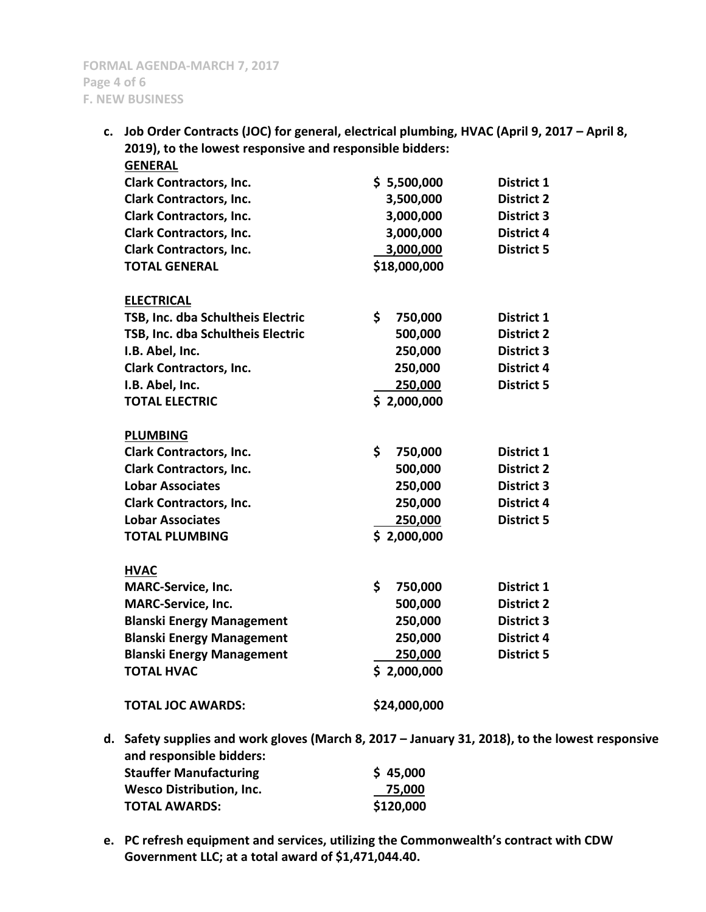**c. Job Order Contracts (JOC) for general, electrical plumbing, HVAC (April 9, 2017 – April 8, 2019), to the lowest responsive and responsible bidders:**

| <b>GENERAL</b>                                                             |               |                   |
|----------------------------------------------------------------------------|---------------|-------------------|
| <b>Clark Contractors, Inc.</b>                                             | \$5,500,000   | District 1        |
| <b>Clark Contractors, Inc.</b>                                             | 3,500,000     | <b>District 2</b> |
| <b>Clark Contractors, Inc.</b>                                             | 3,000,000     | <b>District 3</b> |
| <b>Clark Contractors, Inc.</b>                                             | 3,000,000     | <b>District 4</b> |
| <b>Clark Contractors, Inc.</b>                                             | 3,000,000     | <b>District 5</b> |
| <b>TOTAL GENERAL</b>                                                       | \$18,000,000  |                   |
| <b>ELECTRICAL</b>                                                          |               |                   |
| TSB, Inc. dba Schultheis Electric                                          | \$<br>750,000 | District 1        |
| TSB, Inc. dba Schultheis Electric                                          | 500,000       | <b>District 2</b> |
| I.B. Abel, Inc.                                                            | 250,000       | <b>District 3</b> |
| <b>Clark Contractors, Inc.</b>                                             | 250,000       | <b>District 4</b> |
| I.B. Abel, Inc.                                                            | 250,000       | <b>District 5</b> |
| <b>TOTAL ELECTRIC</b>                                                      | \$2,000,000   |                   |
| <b>PLUMBING</b>                                                            |               |                   |
| <b>Clark Contractors, Inc.</b>                                             | \$<br>750,000 | District 1        |
| <b>Clark Contractors, Inc.</b>                                             | 500,000       | <b>District 2</b> |
| <b>Lobar Associates</b>                                                    | 250,000       | <b>District 3</b> |
| <b>Clark Contractors, Inc.</b>                                             | 250,000       | <b>District 4</b> |
| <b>Lobar Associates</b>                                                    | 250,000       | <b>District 5</b> |
| <b>TOTAL PLUMBING</b>                                                      | \$2,000,000   |                   |
| <b>HVAC</b>                                                                |               |                   |
| <b>MARC-Service, Inc.</b>                                                  | \$<br>750,000 | District 1        |
| <b>MARC-Service, Inc.</b>                                                  | 500,000       | <b>District 2</b> |
| <b>Blanski Energy Management</b>                                           | 250,000       | <b>District 3</b> |
| <b>Blanski Energy Management</b>                                           | 250,000       | <b>District 4</b> |
| <b>Blanski Energy Management</b>                                           | 250,000       | <b>District 5</b> |
| <b>TOTAL HVAC</b>                                                          | \$2,000,000   |                   |
| <b>TOTAL JOC AWARDS:</b>                                                   | \$24,000,000  |                   |
| Safety supplies and work gloves (March 8, 2017 – January 31, 2018), to the |               |                   |

- **d. Safety supplies and work gloves (March 8, 2017 – January 31, 2018), to the lowest responsive and responsible bidders: Stauffer Manufacturing \$ 45,000 Wesco Distribution, Inc. 75,000 TOTAL AWARDS: \$120,000**
- **e. PC refresh equipment and services, utilizing the Commonwealth's contract with CDW Government LLC; at a total award of \$1,471,044.40.**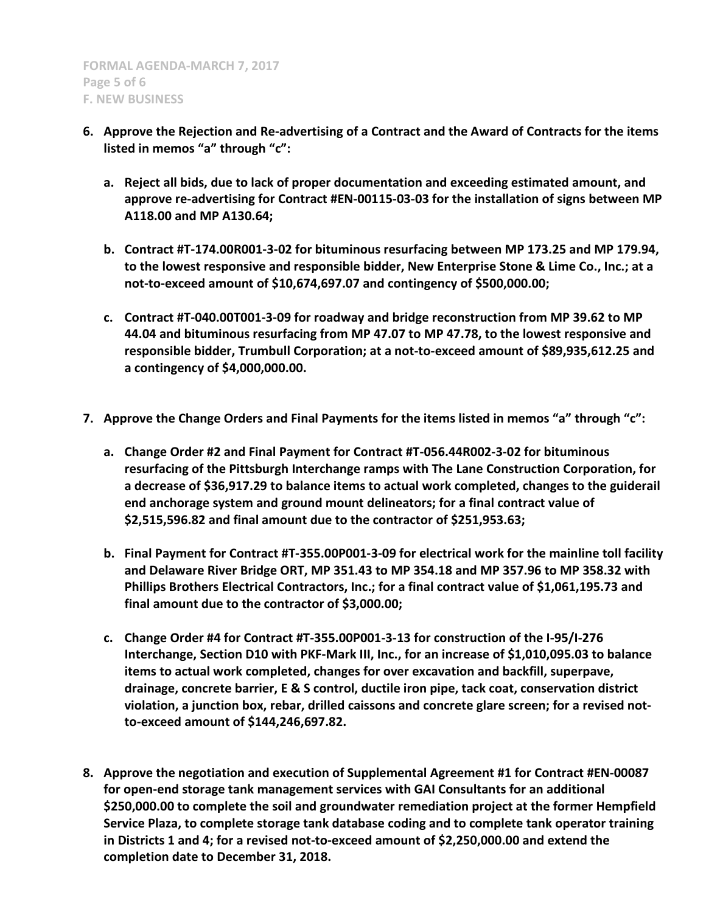- **6. Approve the Rejection and Re-advertising of a Contract and the Award of Contracts for the items listed in memos "a" through "c":**
	- **a. Reject all bids, due to lack of proper documentation and exceeding estimated amount, and approve re-advertising for Contract #EN-00115-03-03 for the installation of signs between MP A118.00 and MP A130.64;**
	- **b. Contract #T-174.00R001-3-02 for bituminous resurfacing between MP 173.25 and MP 179.94, to the lowest responsive and responsible bidder, New Enterprise Stone & Lime Co., Inc.; at a not-to-exceed amount of \$10,674,697.07 and contingency of \$500,000.00;**
	- **c. Contract #T-040.00T001-3-09 for roadway and bridge reconstruction from MP 39.62 to MP 44.04 and bituminous resurfacing from MP 47.07 to MP 47.78, to the lowest responsive and responsible bidder, Trumbull Corporation; at a not-to-exceed amount of \$89,935,612.25 and a contingency of \$4,000,000.00.**
- **7. Approve the Change Orders and Final Payments for the items listed in memos "a" through "c":**
	- **a. Change Order #2 and Final Payment for Contract #T-056.44R002-3-02 for bituminous resurfacing of the Pittsburgh Interchange ramps with The Lane Construction Corporation, for a decrease of \$36,917.29 to balance items to actual work completed, changes to the guiderail end anchorage system and ground mount delineators; for a final contract value of \$2,515,596.82 and final amount due to the contractor of \$251,953.63;**
	- **b. Final Payment for Contract #T-355.00P001-3-09 for electrical work for the mainline toll facility and Delaware River Bridge ORT, MP 351.43 to MP 354.18 and MP 357.96 to MP 358.32 with Phillips Brothers Electrical Contractors, Inc.; for a final contract value of \$1,061,195.73 and final amount due to the contractor of \$3,000.00;**
	- **c. Change Order #4 for Contract #T-355.00P001-3-13 for construction of the I-95/I-276 Interchange, Section D10 with PKF-Mark III, Inc., for an increase of \$1,010,095.03 to balance items to actual work completed, changes for over excavation and backfill, superpave, drainage, concrete barrier, E & S control, ductile iron pipe, tack coat, conservation district violation, a junction box, rebar, drilled caissons and concrete glare screen; for a revised notto-exceed amount of \$144,246,697.82.**
- **8. Approve the negotiation and execution of Supplemental Agreement #1 for Contract #EN-00087 for open-end storage tank management services with GAI Consultants for an additional \$250,000.00 to complete the soil and groundwater remediation project at the former Hempfield Service Plaza, to complete storage tank database coding and to complete tank operator training in Districts 1 and 4; for a revised not-to-exceed amount of \$2,250,000.00 and extend the completion date to December 31, 2018.**